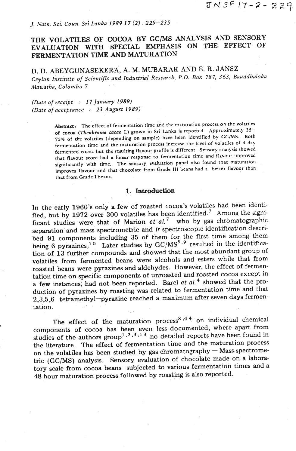# *J. Natn, Sci, Coun. Sri Lanka 1989* **17** *(2)* : *229-235*

# **THE VOLATILES OF COCOA BY GC/MS ANALYSIS AND SENSORY EVALUATION WITH SPECIAL EMPHASIS ON THE EFFECT OF FERMENTATION TIME AND MATURATION**

D. D. ABEYGUNASEKERA, A. M. MUBARAK AND E. R. JANSZ *Ceylon Institute of Scientific and Zndtrstlial Research, P.* **0.** *Box 78 7, 363, Bauddhaloka Mawatha, Colombo* **7.** 

*(Data of receipt* : *1* **7** *January 1989) (Date of acceptance* : *23 August 1989)* 

> Abstract: The effect of fermentation time and the maturation process on the volatiles **of cocoa** *(Theobroma* **cacao** L) grown in Sri Lanka **1s** reported. Approximately **35-**  75% of the volatiles (depending on sample) have been identified by **GCIMS.** Both fermentation time and the maturation process increase the lcvel of volariles of 4 day fermented cocoa but the resulting flavour profile is different. Sensory analysis showed that flavour score had a linear response to fermentation time and flavour improved significantly with time. The sensory evaluation panel also found that maturation improves flavour and that chocolate from Grade **111** beans had a better flavour than that from Grade I beans.

### **1, Introduction**

In the early 1960's only a few of roasted cocoa's volatiles had been identified, but by 1972 over 300 volatiles has been identified.<sup>7</sup> Among the significant studies were that of Marion et *al.<sup>7</sup>* who by gas chromatographic separation and mass spectrometric and ir spectroscopic identification described **91** components including **35** of them for the first time among them being 6 pyrazines.<sup>10</sup> Later studies by GC/MS<sup>5</sup>.<sup>9</sup> resulted in the identification of **13** further compounds and showed that the most abundant group of volatiles from fermented beans were alcohols and esters while that from roasted beans were pyrazines and aldehydes. However, the effect of fermentation time on specific components of unroasted and roasted cocoa except in a few instances, had not been reported. Barel et  $al.$ <sup>4</sup> showed that the production of pyrazines by roasting was related to fermentation time and that 2,3,5,6<sup>tetramethyl-pyrazine reached a maximum after seven days fermen-</sup> tation.

The effect of the maturation process<sup>8,44</sup> on individual chemical components of cocoa has been even less documented, where apart from studies of the authors group<sup>1,2,3,13</sup> no detailed reports have been found in the Literature. The effect of fermentation time and the maturation process on the volatiles **has** been studied by gas chromatography - Mass spectromeon the volatiles has been studied by gas chromatography  $-$  Mass spectrometric (GC/MS) analysis. Sensory evaluation of chocolate made on a laboratory scale from cocoa beans subjected to various fermentation times and a 48 hour maturation process followed by roasting is also reported.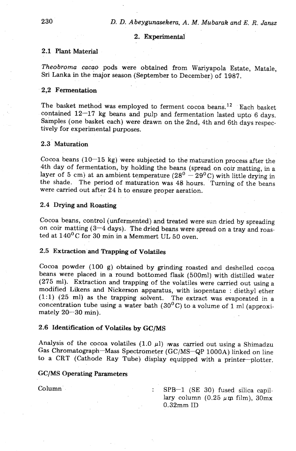## **2. Experimental**

### 2.1 Plant Material

*Theobroma cacao* pods were obtained from Wariyapola Estate, Matale, Sri Lanka in the major season (September to December) of 1987.

### 2,2 Fermentation

The basket method was employed to ferment cocoa beans.<sup>12</sup> Each basket contained 12-17 kg beans and pulp and fermentation lasted upto 6 days. Samples (one basket each) were drawn on the 2nd, 4th and 6th days respectively for experimental purposes,

# 2.3 Maturation

Cocoa beans  $(10-15 \text{ kg})$  were subjected to the maturation process after the 4th day of fermentation, by holding the beans (spread on coir matting, in a layer of 5 cm) at an ambient temperature  $(28^0 - 29^0)$  with little drying in the shade. The period of maturation was 48 hours. Turning of the beans were carried out after 24 h to ensure proper aeration.

### 2.4 **Drying** and Roasting

Cocoa beans, control (unfermented) and treated were sun dried by spreading on coir matting  $(3-4 \text{ days})$ . The dried beans were spread on a tray and roasted at 140°C for 30 min in a Memmert UL 50 oven.

#### 2.5 Extraction and Trapping of Volatiles

Cocoa powder (100 g) obtained by grinding roasted and deshelled cocoa beans were placed in a round bottomed flask (500ml) with distilled water (275 ml). Extraction and trapping of the volatiles were carried out using a modified Likens and Nickerson apparatus, with isopentane : diethyl ether (1:l) (25 ml) as the trapping solvent. The extract was evaporated in a concentration tube using a water bath  $(30^0C)$  to a volume of 1 ml (approximately 20-30 min).

# 2.6 Identification of Volatiles by GC/MS

Analysis of the cocoa volatiles  $(1.0 \mu l)$  was carried out using a Shimadzu Gas Chromatograph-Mass Spectrometer (GC/MS-QP 1000A) linked on line to a CRT (Cathode Ray Tube) display equipped with a printer-plotter.

# GC/MS Operating Parameters

Column : SPB-1 (SE 30) fused silica capillary column  $(0.25 \ \mu \text{m film})$ ,  $30 \text{mx}$ 0.32mm ID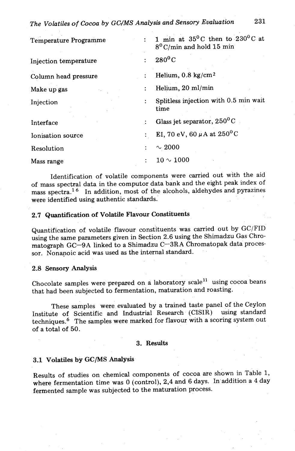The Volatiles of Cocoa by GC/MS Analysis and Sensory Evaluation

| Temperature Programme |                      | 1 min at $35^{\circ}$ C then to $230^{\circ}$ C at<br>$8^0$ C/min and hold 15 min |  |  |
|-----------------------|----------------------|-----------------------------------------------------------------------------------|--|--|
| Injection temperature |                      | $280^0C$                                                                          |  |  |
| Column head pressure  |                      | Helium, $0.8 \text{ kg/cm}^2$                                                     |  |  |
| Make up gas           | $\ddot{\phantom{a}}$ | Helium, 20 ml/min                                                                 |  |  |
| Injection             |                      | Splitless injection with 0.5 min wait<br>time                                     |  |  |
| Interface             | $\ddot{\cdot}$       | Glass jet separator, $250^{\circ}$ C                                              |  |  |
| Ionisation source     |                      | EI, 70 eV, 60 $\mu$ A at 250 <sup>o</sup> C                                       |  |  |
| Resolution            |                      | $\sim 2000$                                                                       |  |  |
| Mass range            |                      | $10 \sim 1000$                                                                    |  |  |

Identification of volatile components were carried out with the aid of mass spectral data in the computor data bank and the eight peak index of mass spectra.<sup>16</sup> In addition, most of the alcohols, aldehydes and pyrazines were identified using authentic standards.

# 2.7 Quantification of Volatile Flavour Constituents

Quantification of volatile flavour constituents was carried out by GC/FID using the same parameters given in Section 2.6 using the Shimadzu Gas Chromatograph GC-9A linked to a Shimadzu C-3RA Chromatopak data processor. Nonanoic acid was used as the internal standard.

# 2.8 Sensory **Analysis**

Chocolate samples were prepared on a laboratory scale<sup>11</sup> using cocoa beans that had been subjected to fermentation, maturation and roasting.

These samples were evaluated by a trained taste panel of the Ceylon Institute of Scientific **and** Industrial Research (CISIR) using standard techniques.<sup>6</sup> The samples were marked for flavour with a scoring system out of a total of 50.

### **3. Results**

### 3.1 Volatiles by *GC/MS* **Analysis**

Results of studies on chemical components of cocoa are shown in Table 1, where fermentation time was 0 (control), 2,4 and 6 days. In addition a 4 day fermented sample was subjected to the maturation process.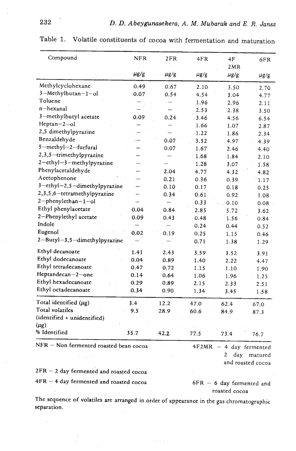| Compound                                 | <b>NFR</b> | 2FR       | 4FR       | 4F<br>2MR | 6FR       |
|------------------------------------------|------------|-----------|-----------|-----------|-----------|
|                                          | $\mu$ g/g  | $\mu$ g/g | $\mu$ g/g | $\mu$ g/g | $\mu$ g/g |
| Methylcyclohexane                        | 0.49       | 0.67      | 2.10      | 3.50      | 2.70      |
| 3-Methylbutan-1-ol                       | 0.07       | 0.54      | 4.54      | 3.04.     | 4.77      |
| Toluene                                  |            |           | 1.96      | 2.96      | 2.11      |
| n-hexanal                                |            |           | 2.53      | 2.38      | 3.50      |
| 3-methylbutyl acetate                    | 0.09       | 0.24.     | 3.46      | 4.56      | 6.54      |
| $Heptan-2-ol$                            |            |           | 1.66      | 1.07      | 2.87      |
| 2,5 dimethylpyrazine                     |            |           | 1.22      | 1.86      | 2.34      |
| Benzaldehyde                             | .          | 0.07      | 3.52      | 4.97      | 4.39      |
| 5-methyl-2-furfural                      |            | 0.07      | 1.67      | 2.46      | 4.40      |
| 2,3,5-trimethylpyrazine                  |            |           | 1.68      | 1.84      | 2.10      |
| 2-ethyl-3-methylpyrazine                 |            |           | 1.28      | 3.07      | 1.58      |
| Phenylacetaldehyde                       |            | 2.04      | 4.77      | 4.32      | 4.82      |
| Acetophenone                             |            | 0.21      | 0.36      | 0.39      | 1.17      |
| 3-ethyl-2,5-dimethylpyrazine             |            | 0.10      | 0.17      | 0.18      | 0.25      |
| 2,3,5,6-tetramethylpyrazine              |            | 0.34      | 0.61      | 0.92      | 1.08      |
| 2-phenylethan-1-ol                       |            | —         | 0.33      | 0.10      | 0.08      |
| Ethyl phenylacetate                      | 0.04       | 0.84      | 2.85      | 5.72      | 3.62      |
| 2-Phenylethyl acetate                    | 0.09       | 0.43      | 0.48      | 1.56      | 0.84      |
| Indole                                   |            |           | 0.24      | 0.44      | 0.52      |
| Eugenol                                  | 0.02       | 0.19      | 0.25      | 1.15      | 0.46      |
| 2-Butyl-3,5-dimethylpyrazine             |            |           | 0.71      | 1.38      | 1.29      |
| Ethyl decanoate                          | 1.41       | 2.43      | 3.59      | 3.52      | 3.91      |
| Ethyl dodecanoate                        | 0.04       | 0.89      | 1.40      | 2.22      | 4.47      |
| Ethyl tetradecanoate                     | 0.47       | 0.72      | 1.15      | 1.10      | 1.90      |
| Heptandecan-2-one                        | 0.14       | 0.64      | 1.06      | 1.96      | 1.25      |
| Ethyl hexadecanoate                      | 0.29       | 0.89      | 2.15      | 2.33      | 2.51      |
| Ethyl octadecanoate                      | 0.34       | 0.90      | 1.34      | 3.45      | 1.58      |
| Total identified $(\mu$ g)               | 3.4        | 12.2      | 47.0      | 62.4      | 67.0      |
| <b>Total</b> volatiles                   | 9.5        | 28.9      | 60.6      | 84.9      | 87.3      |
| (identified + unidentified)<br>$(\mu$ g) |            |           |           |           |           |
| % Identified                             | 35.7       | 42.2      | 77.5      | 73.4      | 76.7      |

Table 1. Volatile constituents of'cocoa with fermentation **and** maturation

2 day matured and roasted cocoa

 $2FR - 2$  day fermented and roasted cocoa

 $4FR - 4$  day fermented and roasted cocoa 6FR - 6 day fermented and

roasted cocoa

The sequence of volatiles are arranged in order of appearance in the gas chromatographic separation.

232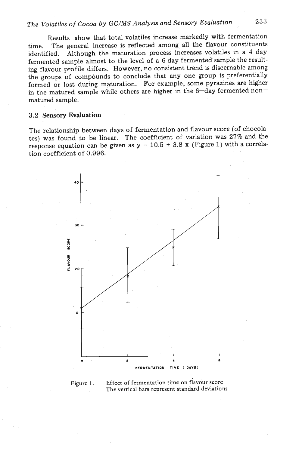# *The Volatites of Cocoa by GC/MS Analysis and Sensory Evaluation* **233**

Results show that total volatiles increase markedly with fermentation time. The general increase is reflected among all the flavour constituents identified. Although the maturation process increases volatiles in a 4 day fermented sample almost to the level of a 6 day fermented sample the resulting flavour profile differs. However, no consistent trend is discernable among the groups of compounds to conclude that any one group is preferentially formed or lost during maturation. For example, some pyrazines are higher in the matured sample while others are higher in the 6-day fermented nonmatured sample.

#### 3.2 Sensory Evaluation

The relationship between days of fermentation and flavour score (of chocolates) was found to be linear. The coefficient of variation was 27% and the response equation can be given as  $y = 10.5 + 3.8$  x (Figure 1) with a correlation coefficient of 0.996.



# **Figure 1. Effect of fermentation time on flavour score The vertical bars represent standard deviations**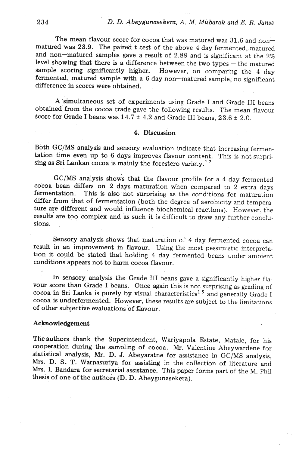The mean flavour score for cocoa that was matured was  $31.6$  and nonmatured was 23.9. The paired t test of the above 4 day fermented, matured and non-matured samples gave a result of 2.89 and is significant at the 2% level showing that there is a difference between the two types - the matured sample scoring significantly higher. However, on comparing the 4 day fermented, matured sample with a 6 day non-matured sample, no significant difference in scores were obtained.

A simultaneous set of experiments using Grade I and Grade I11 beans obtained from the cocoa trade gave the following results. The mean flavour score for Grade I beans was  $14.7 \pm 4.2$  and Grade III beans,  $23.6 \pm 2.0$ .

# **4. Discussion**

Both GC/MS analysis and sensory evaluation indicate that increasing fermentation time even up to 6 days improves flavour content. This is not surprising as Sri Lankan cocoa is mainly the forestero variety.<sup>12</sup>

GC/MS analysis shows that the flavour profile for a 4 day fermented cocoa bean differs on 2 days maturation when compared to 2 extra days fermentation. This is also not surprising as the conditions for maturation differ from that of fermentation (both the degree of aerobicity and temperature are different and would influence biochemical reactions). However, the results are too complex and as such it is difficult to draw any further conclusions.

Sensory analysis shows that maturation of 4 day fermented cocoa can result in an improvement in flavour. Using the most pessimistic interpretation it could be stated that holding 4 day fermented beans under ambient conditions appears not to harm cocoa flavour.

In sensory analysis the Grade I11 beans gave a significantly higher flavour score than Grade I beans. Once again this is not surprising as grading of cocoa in Sri Lanka is purely by visual characteristics<sup>15</sup> and generally Grade I cocoa is underfermented. However, these results are subject to the limitations of other subjective evaluations of flavour.

### **Acknowledgement**

The authors thank the Superintendent, Wariyapola Estate, Matale, for his cooperation during the sampling of cocoa. Mr. Valentine Abeywardene for statistical analysis, Mr. D. J. Abeyaratne for assistance in GC/MS analysis, Mrs. D. S. T. Warpasuriya for assisting in the collection of literature and Mrs. I. Bandara for secretarial assistance. This paper forms part of the M. Phil thesis of one of the authors (D. D. Abeygunasekera).